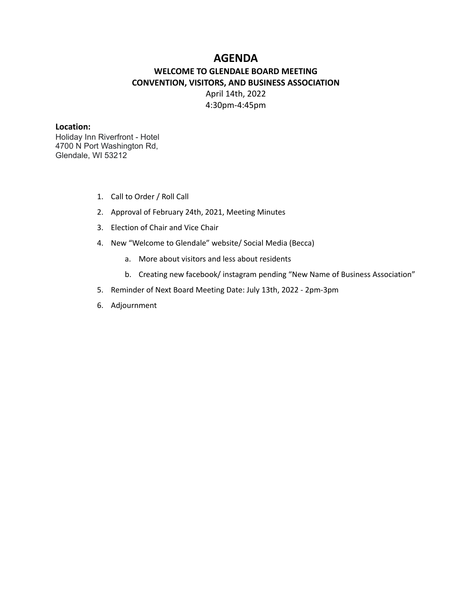# **AGENDA**

# **WELCOME TO GLENDALE BOARD MEETING CONVENTION, VISITORS, AND BUSINESS ASSOCIATION** April 14th, 2022 4:30pm-4:45pm

#### **Location:**

Holiday Inn Riverfront - Hotel 4700 N Port Washington Rd, Glendale, WI 53212

- 1. Call to Order / Roll Call
- 2. Approval of February 24th, 2021, Meeting Minutes
- 3. Election of Chair and Vice Chair
- 4. New "Welcome to Glendale" website/ Social Media (Becca)
	- a. More about visitors and less about residents
	- b. Creating new facebook/ instagram pending "New Name of Business Association"
- 5. Reminder of Next Board Meeting Date: July 13th, 2022 2pm-3pm
- 6. Adjournment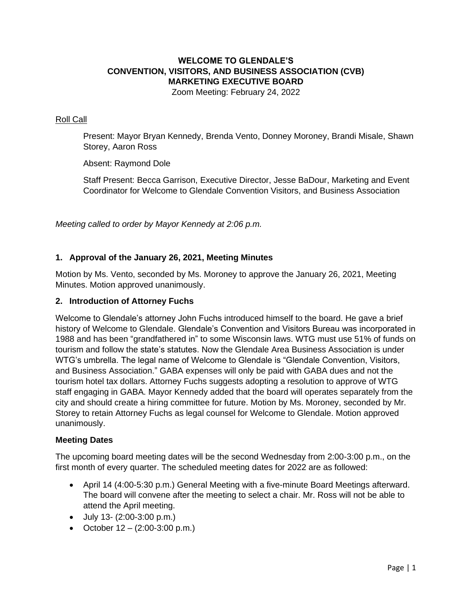# **WELCOME TO GLENDALE'S CONVENTION, VISITORS, AND BUSINESS ASSOCIATION (CVB) MARKETING EXECUTIVE BOARD**

Zoom Meeting: February 24, 2022

### Roll Call

Present: Mayor Bryan Kennedy, Brenda Vento, Donney Moroney, Brandi Misale, Shawn Storey, Aaron Ross

Absent: Raymond Dole

Staff Present: Becca Garrison, Executive Director, Jesse BaDour, Marketing and Event Coordinator for Welcome to Glendale Convention Visitors, and Business Association

*Meeting called to order by Mayor Kennedy at 2:06 p.m.*

### **1. Approval of the January 26, 2021, Meeting Minutes**

Motion by Ms. Vento, seconded by Ms. Moroney to approve the January 26, 2021, Meeting Minutes. Motion approved unanimously.

#### **2. Introduction of Attorney Fuchs**

Welcome to Glendale's attorney John Fuchs introduced himself to the board. He gave a brief history of Welcome to Glendale. Glendale's Convention and Visitors Bureau was incorporated in 1988 and has been "grandfathered in" to some Wisconsin laws. WTG must use 51% of funds on tourism and follow the state's statutes. Now the Glendale Area Business Association is under WTG's umbrella. The legal name of Welcome to Glendale is "Glendale Convention, Visitors, and Business Association." GABA expenses will only be paid with GABA dues and not the tourism hotel tax dollars. Attorney Fuchs suggests adopting a resolution to approve of WTG staff engaging in GABA. Mayor Kennedy added that the board will operates separately from the city and should create a hiring committee for future. Motion by Ms. Moroney, seconded by Mr. Storey to retain Attorney Fuchs as legal counsel for Welcome to Glendale. Motion approved unanimously.

#### **Meeting Dates**

The upcoming board meeting dates will be the second Wednesday from 2:00-3:00 p.m., on the first month of every quarter. The scheduled meeting dates for 2022 are as followed:

- April 14 (4:00-5:30 p.m.) General Meeting with a five-minute Board Meetings afterward. The board will convene after the meeting to select a chair. Mr. Ross will not be able to attend the April meeting.
- July 13- (2:00-3:00 p.m.)
- October  $12 (2:00-3:00 \text{ p.m.})$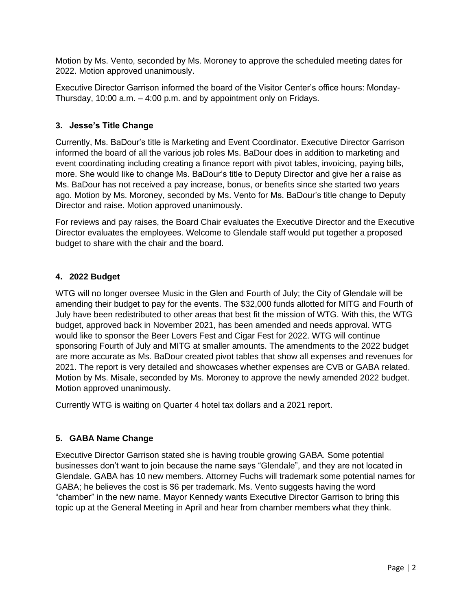Motion by Ms. Vento, seconded by Ms. Moroney to approve the scheduled meeting dates for 2022. Motion approved unanimously.

Executive Director Garrison informed the board of the Visitor Center's office hours: Monday-Thursday, 10:00 a.m. – 4:00 p.m. and by appointment only on Fridays.

## **3. Jesse's Title Change**

Currently, Ms. BaDour's title is Marketing and Event Coordinator. Executive Director Garrison informed the board of all the various job roles Ms. BaDour does in addition to marketing and event coordinating including creating a finance report with pivot tables, invoicing, paying bills, more. She would like to change Ms. BaDour's title to Deputy Director and give her a raise as Ms. BaDour has not received a pay increase, bonus, or benefits since she started two years ago. Motion by Ms. Moroney, seconded by Ms. Vento for Ms. BaDour's title change to Deputy Director and raise. Motion approved unanimously.

For reviews and pay raises, the Board Chair evaluates the Executive Director and the Executive Director evaluates the employees. Welcome to Glendale staff would put together a proposed budget to share with the chair and the board.

### **4. 2022 Budget**

WTG will no longer oversee Music in the Glen and Fourth of July; the City of Glendale will be amending their budget to pay for the events. The \$32,000 funds allotted for MITG and Fourth of July have been redistributed to other areas that best fit the mission of WTG. With this, the WTG budget, approved back in November 2021, has been amended and needs approval. WTG would like to sponsor the Beer Lovers Fest and Cigar Fest for 2022. WTG will continue sponsoring Fourth of July and MITG at smaller amounts. The amendments to the 2022 budget are more accurate as Ms. BaDour created pivot tables that show all expenses and revenues for 2021. The report is very detailed and showcases whether expenses are CVB or GABA related. Motion by Ms. Misale, seconded by Ms. Moroney to approve the newly amended 2022 budget. Motion approved unanimously.

Currently WTG is waiting on Quarter 4 hotel tax dollars and a 2021 report.

# **5. GABA Name Change**

Executive Director Garrison stated she is having trouble growing GABA. Some potential businesses don't want to join because the name says "Glendale", and they are not located in Glendale. GABA has 10 new members. Attorney Fuchs will trademark some potential names for GABA; he believes the cost is \$6 per trademark. Ms. Vento suggests having the word "chamber" in the new name. Mayor Kennedy wants Executive Director Garrison to bring this topic up at the General Meeting in April and hear from chamber members what they think.